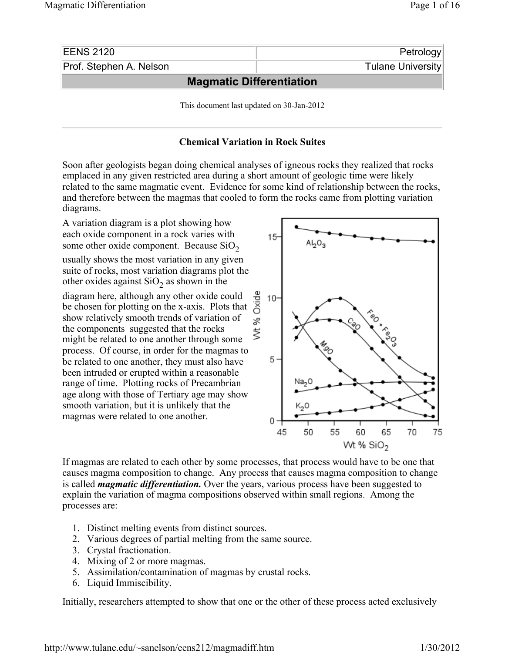| EENS 2120                       | Petrology         |
|---------------------------------|-------------------|
| Prof. Stephen A. Nelson         | Tulane University |
| <b>Magmatic Differentiation</b> |                   |

This document last updated on 30-Jan-2012

### **Chemical Variation in Rock Suites**

Soon after geologists began doing chemical analyses of igneous rocks they realized that rocks emplaced in any given restricted area during a short amount of geologic time were likely related to the same magmatic event. Evidence for some kind of relationship between the rocks, and therefore between the magmas that cooled to form the rocks came from plotting variation diagrams.

A variation diagram is a plot showing how each oxide component in a rock varies with some other oxide component. Because  $SiO<sub>2</sub>$ 

usually shows the most variation in any given suite of rocks, most variation diagrams plot the other oxides against  $SiO<sub>2</sub>$  as shown in the

Oxide diagram here, although any other oxide could be chosen for plotting on the x-axis. Plots that show relatively smooth trends of variation of ℅ the components suggested that the rocks ż might be related to one another through some process. Of course, in order for the magmas to be related to one another, they must also have been intruded or erupted within a reasonable range of time. Plotting rocks of Precambrian age along with those of Tertiary age may show smooth variation, but it is unlikely that the magmas were related to one another.



If magmas are related to each other by some processes, that process would have to be one that causes magma composition to change. Any process that causes magma composition to change is called *magmatic differentiation.* Over the years, various process have been suggested to explain the variation of magma compositions observed within small regions. Among the processes are:

- 1. Distinct melting events from distinct sources.
- 2. Various degrees of partial melting from the same source.
- 3. Crystal fractionation.
- 4. Mixing of 2 or more magmas.
- 5. Assimilation/contamination of magmas by crustal rocks.
- 6. Liquid Immiscibility.

Initially, researchers attempted to show that one or the other of these process acted exclusively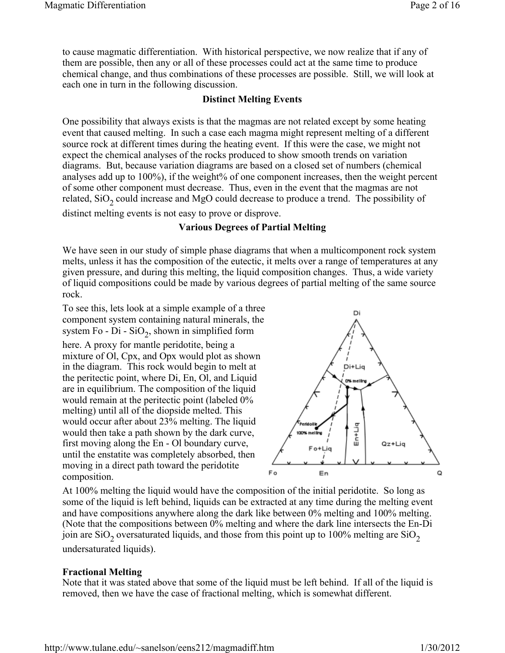to cause magmatic differentiation. With historical perspective, we now realize that if any of them are possible, then any or all of these processes could act at the same time to produce chemical change, and thus combinations of these processes are possible. Still, we will look at each one in turn in the following discussion.

## **Distinct Melting Events**

One possibility that always exists is that the magmas are not related except by some heating event that caused melting. In such a case each magma might represent melting of a different source rock at different times during the heating event. If this were the case, we might not expect the chemical analyses of the rocks produced to show smooth trends on variation diagrams. But, because variation diagrams are based on a closed set of numbers (chemical analyses add up to 100%), if the weight% of one component increases, then the weight percent of some other component must decrease. Thus, even in the event that the magmas are not related,  $SiO<sub>2</sub>$  could increase and MgO could decrease to produce a trend. The possibility of

distinct melting events is not easy to prove or disprove.

# **Various Degrees of Partial Melting**

We have seen in our study of simple phase diagrams that when a multicomponent rock system melts, unless it has the composition of the eutectic, it melts over a range of temperatures at any given pressure, and during this melting, the liquid composition changes. Thus, a wide variety of liquid compositions could be made by various degrees of partial melting of the same source rock.

To see this, lets look at a simple example of a three component system containing natural minerals, the system Fo - Di - SiO<sub>2</sub>, shown in simplified form

here. A proxy for mantle peridotite, being a mixture of Ol, Cpx, and Opx would plot as shown in the diagram. This rock would begin to melt at the peritectic point, where Di, En, Ol, and Liquid are in equilibrium. The composition of the liquid would remain at the peritectic point (labeled 0% melting) until all of the diopside melted. This would occur after about 23% melting. The liquid would then take a path shown by the dark curve, first moving along the En - Ol boundary curve, until the enstatite was completely absorbed, then moving in a direct path toward the peridotite composition.



At 100% melting the liquid would have the composition of the initial peridotite. So long as some of the liquid is left behind, liquids can be extracted at any time during the melting event and have compositions anywhere along the dark like between 0% melting and 100% melting. (Note that the compositions between 0% melting and where the dark line intersects the En-Di join are  $SiO<sub>2</sub>$  oversaturated liquids, and those from this point up to 100% melting are  $SiO<sub>2</sub>$ undersaturated liquids).

### **Fractional Melting**

Note that it was stated above that some of the liquid must be left behind. If all of the liquid is removed, then we have the case of fractional melting, which is somewhat different.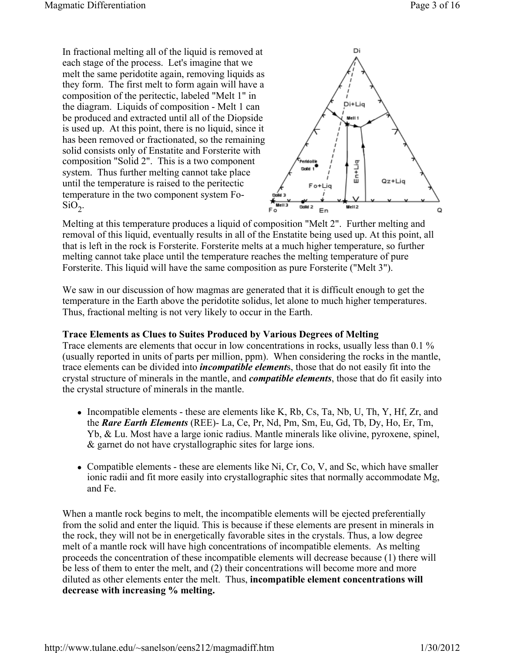In fractional melting all of the liquid is removed at each stage of the process. Let's imagine that we melt the same peridotite again, removing liquids as they form. The first melt to form again will have a composition of the peritectic, labeled "Melt 1" in the diagram. Liquids of composition - Melt 1 can be produced and extracted until all of the Diopside is used up. At this point, there is no liquid, since it has been removed or fractionated, so the remaining solid consists only of Enstatite and Forsterite with composition "Solid 2". This is a two component system. Thus further melting cannot take place until the temperature is raised to the peritectic temperature in the two component system Fo- $SiO<sub>2</sub>$ .



Melting at this temperature produces a liquid of composition "Melt 2". Further melting and removal of this liquid, eventually results in all of the Enstatite being used up. At this point, all that is left in the rock is Forsterite. Forsterite melts at a much higher temperature, so further melting cannot take place until the temperature reaches the melting temperature of pure Forsterite. This liquid will have the same composition as pure Forsterite ("Melt 3").

We saw in our discussion of how magmas are generated that it is difficult enough to get the temperature in the Earth above the peridotite solidus, let alone to much higher temperatures. Thus, fractional melting is not very likely to occur in the Earth.

### **Trace Elements as Clues to Suites Produced by Various Degrees of Melting**

Trace elements are elements that occur in low concentrations in rocks, usually less than 0.1 % (usually reported in units of parts per million, ppm). When considering the rocks in the mantle, trace elements can be divided into *incompatible element*s, those that do not easily fit into the crystal structure of minerals in the mantle, and *compatible elements*, those that do fit easily into the crystal structure of minerals in the mantle.

- Incompatible elements these are elements like K, Rb, Cs, Ta, Nb, U, Th, Y, Hf, Zr, and the *Rare Earth Elements* (REE)- La, Ce, Pr, Nd, Pm, Sm, Eu, Gd, Tb, Dy, Ho, Er, Tm, Yb, & Lu. Most have a large ionic radius. Mantle minerals like olivine, pyroxene, spinel, & garnet do not have crystallographic sites for large ions.
- Compatible elements these are elements like Ni, Cr, Co, V, and Sc, which have smaller ionic radii and fit more easily into crystallographic sites that normally accommodate Mg, and Fe.

When a mantle rock begins to melt, the incompatible elements will be ejected preferentially from the solid and enter the liquid. This is because if these elements are present in minerals in the rock, they will not be in energetically favorable sites in the crystals. Thus, a low degree melt of a mantle rock will have high concentrations of incompatible elements. As melting proceeds the concentration of these incompatible elements will decrease because (1) there will be less of them to enter the melt, and (2) their concentrations will become more and more diluted as other elements enter the melt. Thus, **incompatible element concentrations will decrease with increasing % melting.**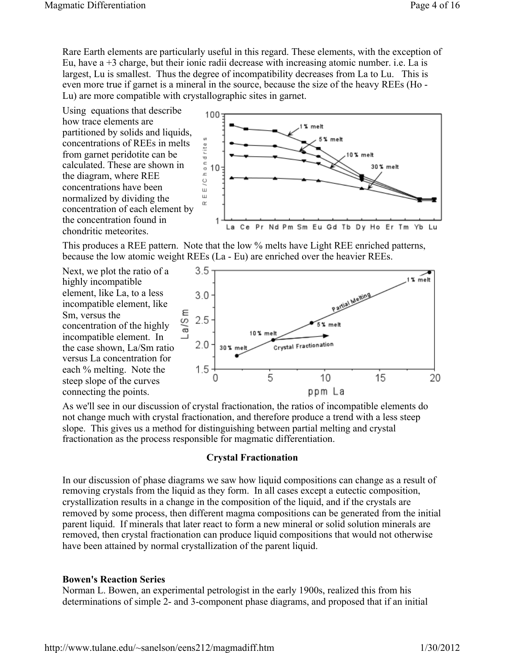Rare Earth elements are particularly useful in this regard. These elements, with the exception of Eu, have a +3 charge, but their ionic radii decrease with increasing atomic number. i.e. La is largest, Lu is smallest. Thus the degree of incompatibility decreases from La to Lu. This is even more true if garnet is a mineral in the source, because the size of the heavy REEs (Ho - Lu) are more compatible with crystallographic sites in garnet.

Using equations that describe how trace elements are partitioned by solids and liquids, concentrations of REEs in melts from garnet peridotite can be calculated. These are shown in the diagram, where REE concentrations have been normalized by dividing the concentration of each element by the concentration found in chondritic meteorites.



This produces a REE pattern. Note that the low % melts have Light REE enriched patterns, because the low atomic weight REEs (La - Eu) are enriched over the heavier REEs.

Next, we plot the ratio of a highly incompatible element, like La, to a less incompatible element, like Sm, versus the concentration of the highly incompatible element. In the case shown, La/Sm ratio versus La concentration for each % melting. Note the steep slope of the curves connecting the points.



As we'll see in our discussion of crystal fractionation, the ratios of incompatible elements do not change much with crystal fractionation, and therefore produce a trend with a less steep slope. This gives us a method for distinguishing between partial melting and crystal fractionation as the process responsible for magmatic differentiation.

### **Crystal Fractionation**

In our discussion of phase diagrams we saw how liquid compositions can change as a result of removing crystals from the liquid as they form. In all cases except a eutectic composition, crystallization results in a change in the composition of the liquid, and if the crystals are removed by some process, then different magma compositions can be generated from the initial parent liquid. If minerals that later react to form a new mineral or solid solution minerals are removed, then crystal fractionation can produce liquid compositions that would not otherwise have been attained by normal crystallization of the parent liquid.

### **Bowen's Reaction Series**

Norman L. Bowen, an experimental petrologist in the early 1900s, realized this from his determinations of simple 2- and 3-component phase diagrams, and proposed that if an initial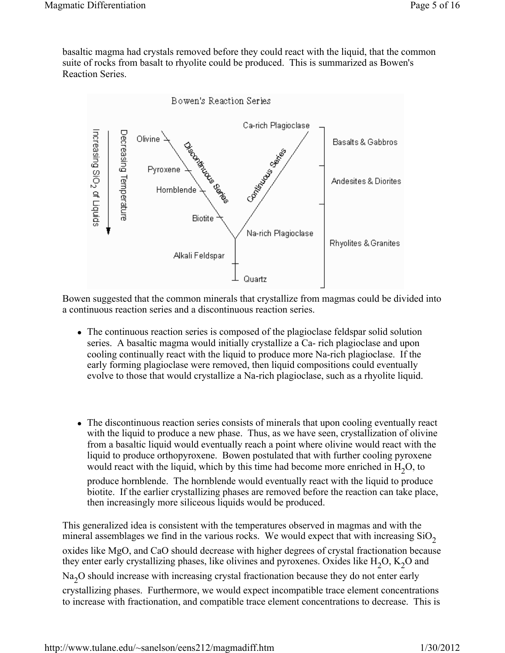basaltic magma had crystals removed before they could react with the liquid, that the common suite of rocks from basalt to rhyolite could be produced. This is summarized as Bowen's Reaction Series.



Bowen suggested that the common minerals that crystallize from magmas could be divided into a continuous reaction series and a discontinuous reaction series.

- The continuous reaction series is composed of the plagioclase feldspar solid solution series. A basaltic magma would initially crystallize a Ca- rich plagioclase and upon cooling continually react with the liquid to produce more Na-rich plagioclase. If the early forming plagioclase were removed, then liquid compositions could eventually evolve to those that would crystallize a Na-rich plagioclase, such as a rhyolite liquid.
- The discontinuous reaction series consists of minerals that upon cooling eventually react with the liquid to produce a new phase. Thus, as we have seen, crystallization of olivine from a basaltic liquid would eventually reach a point where olivine would react with the liquid to produce orthopyroxene. Bowen postulated that with further cooling pyroxene would react with the liquid, which by this time had become more enriched in  $H_2O$ , to produce hornblende. The hornblende would eventually react with the liquid to produce biotite. If the earlier crystallizing phases are removed before the reaction can take place, then increasingly more siliceous liquids would be produced.

This generalized idea is consistent with the temperatures observed in magmas and with the mineral assemblages we find in the various rocks. We would expect that with increasing  $SiO<sub>2</sub>$ oxides like MgO, and CaO should decrease with higher degrees of crystal fractionation because they enter early crystallizing phases, like olivines and pyroxenes. Oxides like  $H_2O$ ,  $K_2O$  and  $Na<sub>2</sub>O$  should increase with increasing crystal fractionation because they do not enter early crystallizing phases. Furthermore, we would expect incompatible trace element concentrations to increase with fractionation, and compatible trace element concentrations to decrease. This is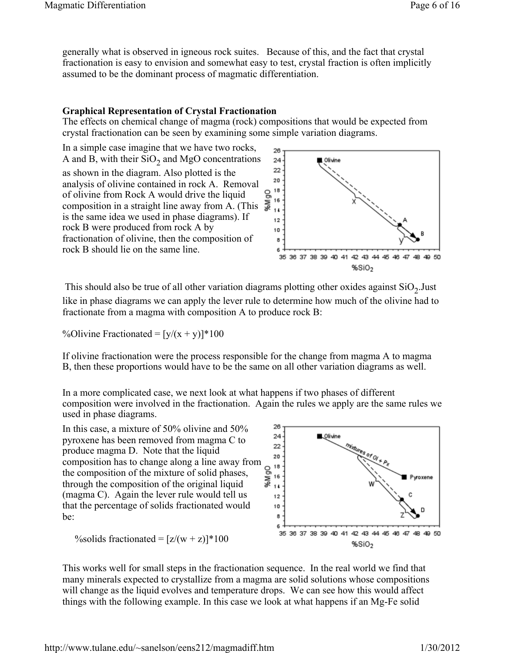generally what is observed in igneous rock suites. Because of this, and the fact that crystal fractionation is easy to envision and somewhat easy to test, crystal fraction is often implicitly assumed to be the dominant process of magmatic differentiation.

# **Graphical Representation of Crystal Fractionation**

The effects on chemical change of magma (rock) compositions that would be expected from crystal fractionation can be seen by examining some simple variation diagrams.

In a simple case imagine that we have two rocks, 26 A and B, with their  $SiO<sub>2</sub>$  and MgO concentrations 24 ■ Olivine 22 as shown in the diagram. Also plotted is the 20 analysis of olivine contained in rock A. Removal 18 g of olivine from Rock A would drive the liquid 16 composition in a straight line away from A. (This  $\overline{\mathcal{F}}$  $14$ is the same idea we used in phase diagrams). If  $12$ rock B were produced from rock A by 10 fractionation of olivine, then the composition of 8 rock B should lie on the same line. 6 35 36 37 38 39 40 41 42 43 44 45 46 47 48 49 50 %SiO<sub>2</sub>

This should also be true of all other variation diagrams plotting other oxides against  $SiO<sub>2</sub>$ . Just like in phase diagrams we can apply the lever rule to determine how much of the olivine had to fractionate from a magma with composition A to produce rock B:

%Olivine Fractionated =  $[y/(x + y)]$ \*100

If olivine fractionation were the process responsible for the change from magma A to magma B, then these proportions would have to be the same on all other variation diagrams as well.

In a more complicated case, we next look at what happens if two phases of different composition were involved in the fractionation. Again the rules we apply are the same rules we used in phase diagrams.

In this case, a mixture of 50% olivine and 50% pyroxene has been removed from magma C to produce magma D. Note that the liquid composition has to change along a line away from<br>the composition of the mixture of solid phases,<br>through the composition of the original liquid the composition of the mixture of solid phases, through the composition of the original liquid (magma C). Again the lever rule would tell us that the percentage of solids fractionated would be:

$$
\% \text{solids fractionaled} = [z/(w+z)]^*100
$$



This works well for small steps in the fractionation sequence. In the real world we find that many minerals expected to crystallize from a magma are solid solutions whose compositions will change as the liquid evolves and temperature drops. We can see how this would affect things with the following example. In this case we look at what happens if an Mg-Fe solid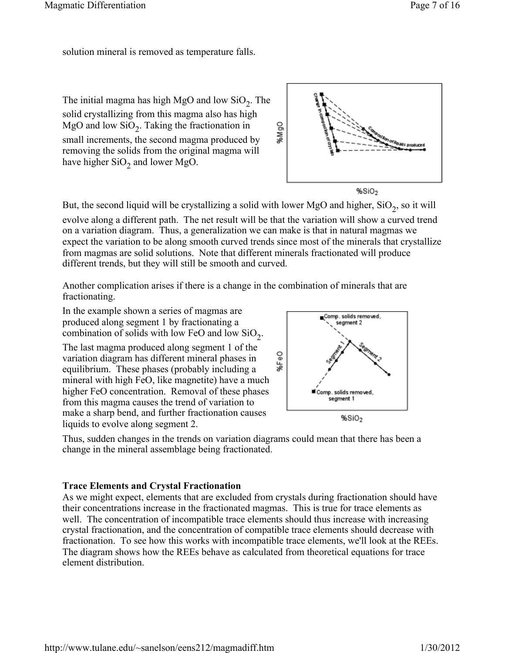solution mineral is removed as temperature falls.

The initial magma has high MgO and low  $SiO<sub>2</sub>$ . The solid crystallizing from this magma also has high MgO and low  $SiO<sub>2</sub>$ . Taking the fractionation in small increments, the second magma produced by removing the solids from the original magma will have higher  $SiO<sub>2</sub>$  and lower MgO.



But, the second liquid will be crystallizing a solid with lower MgO and higher,  $SiO<sub>2</sub>$ , so it will evolve along a different path. The net result will be that the variation will show a curved trend on a variation diagram. Thus, a generalization we can make is that in natural magmas we expect the variation to be along smooth curved trends since most of the minerals that crystallize from magmas are solid solutions. Note that different minerals fractionated will produce different trends, but they will still be smooth and curved.

Another complication arises if there is a change in the combination of minerals that are fractionating.

In the example shown a series of magmas are produced along segment 1 by fractionating a combination of solids with low FeO and low  $SiO<sub>2</sub>$ .

The last magma produced along segment 1 of the variation diagram has different mineral phases in equilibrium. These phases (probably including a mineral with high FeO, like magnetite) have a much higher FeO concentration. Removal of these phases from this magma causes the trend of variation to make a sharp bend, and further fractionation causes liquids to evolve along segment 2.



Thus, sudden changes in the trends on variation diagrams could mean that there has been a change in the mineral assemblage being fractionated.

### **Trace Elements and Crystal Fractionation**

As we might expect, elements that are excluded from crystals during fractionation should have their concentrations increase in the fractionated magmas. This is true for trace elements as well. The concentration of incompatible trace elements should thus increase with increasing crystal fractionation, and the concentration of compatible trace elements should decrease with fractionation. To see how this works with incompatible trace elements, we'll look at the REEs. The diagram shows how the REEs behave as calculated from theoretical equations for trace element distribution.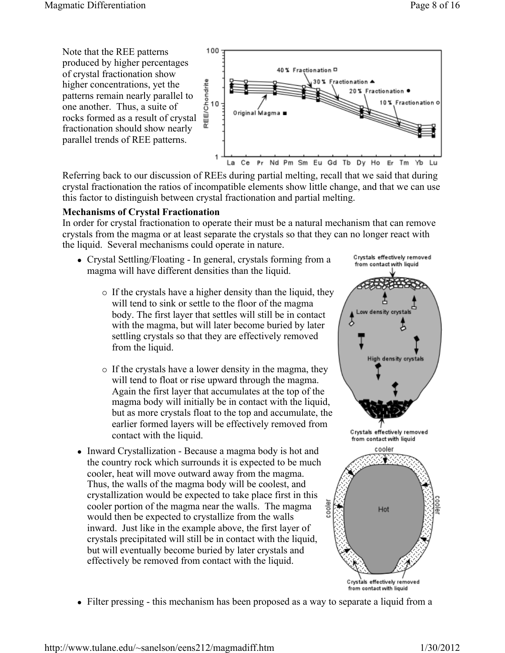

Referring back to our discussion of REEs during partial melting, recall that we said that during crystal fractionation the ratios of incompatible elements show little change, and that we can use this factor to distinguish between crystal fractionation and partial melting.

### **Mechanisms of Crystal Fractionation**

In order for crystal fractionation to operate their must be a natural mechanism that can remove crystals from the magma or at least separate the crystals so that they can no longer react with the liquid. Several mechanisms could operate in nature.

- Crystal Settling/Floating In general, crystals forming from a magma will have different densities than the liquid.
	- $\circ$  If the crystals have a higher density than the liquid, they will tend to sink or settle to the floor of the magma body. The first layer that settles will still be in contact with the magma, but will later become buried by later settling crystals so that they are effectively removed from the liquid.
	- $\circ$  If the crystals have a lower density in the magma, they will tend to float or rise upward through the magma. Again the first layer that accumulates at the top of the magma body will initially be in contact with the liquid, but as more crystals float to the top and accumulate, the earlier formed layers will be effectively removed from contact with the liquid.
- Inward Crystallization Because a magma body is hot and the country rock which surrounds it is expected to be much cooler, heat will move outward away from the magma. Thus, the walls of the magma body will be coolest, and crystallization would be expected to take place first in this cooler portion of the magma near the walls. The magma would then be expected to crystallize from the walls inward. Just like in the example above, the first layer of crystals precipitated will still be in contact with the liquid, but will eventually become buried by later crystals and effectively be removed from contact with the liquid.



• Filter pressing - this mechanism has been proposed as a way to separate a liquid from a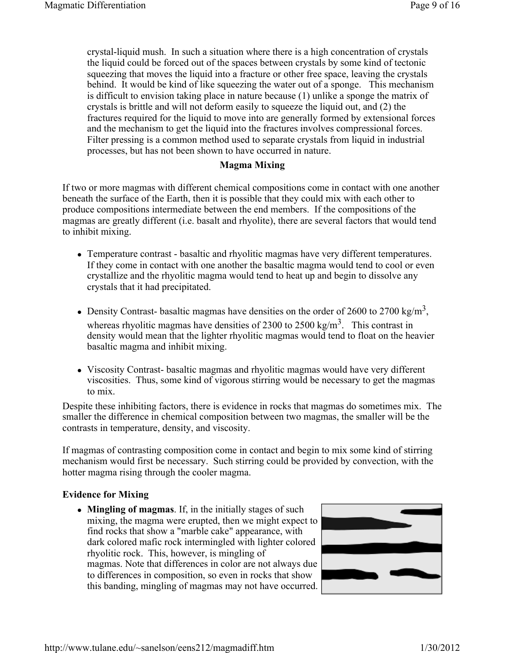crystal-liquid mush. In such a situation where there is a high concentration of crystals the liquid could be forced out of the spaces between crystals by some kind of tectonic squeezing that moves the liquid into a fracture or other free space, leaving the crystals behind. It would be kind of like squeezing the water out of a sponge. This mechanism is difficult to envision taking place in nature because (1) unlike a sponge the matrix of crystals is brittle and will not deform easily to squeeze the liquid out, and (2) the fractures required for the liquid to move into are generally formed by extensional forces and the mechanism to get the liquid into the fractures involves compressional forces. Filter pressing is a common method used to separate crystals from liquid in industrial processes, but has not been shown to have occurred in nature.

## **Magma Mixing**

If two or more magmas with different chemical compositions come in contact with one another beneath the surface of the Earth, then it is possible that they could mix with each other to produce compositions intermediate between the end members. If the compositions of the magmas are greatly different (i.e. basalt and rhyolite), there are several factors that would tend to inhibit mixing.

- Temperature contrast basaltic and rhyolitic magmas have very different temperatures. If they come in contact with one another the basaltic magma would tend to cool or even crystallize and the rhyolitic magma would tend to heat up and begin to dissolve any crystals that it had precipitated.
- Density Contrast- basaltic magmas have densities on the order of 2600 to 2700 kg/m<sup>3</sup>, whereas rhyolitic magmas have densities of 2300 to 2500 kg/m<sup>3</sup>. This contrast in density would mean that the lighter rhyolitic magmas would tend to float on the heavier basaltic magma and inhibit mixing.
- Viscosity Contrast- basaltic magmas and rhyolitic magmas would have very different viscosities. Thus, some kind of vigorous stirring would be necessary to get the magmas to mix.

Despite these inhibiting factors, there is evidence in rocks that magmas do sometimes mix. The smaller the difference in chemical composition between two magmas, the smaller will be the contrasts in temperature, density, and viscosity.

If magmas of contrasting composition come in contact and begin to mix some kind of stirring mechanism would first be necessary. Such stirring could be provided by convection, with the hotter magma rising through the cooler magma.

### **Evidence for Mixing**

• **Mingling of magmas**. If, in the initially stages of such mixing, the magma were erupted, then we might expect to find rocks that show a "marble cake" appearance, with dark colored mafic rock intermingled with lighter colored rhyolitic rock. This, however, is mingling of magmas. Note that differences in color are not always due to differences in composition, so even in rocks that show this banding, mingling of magmas may not have occurred.

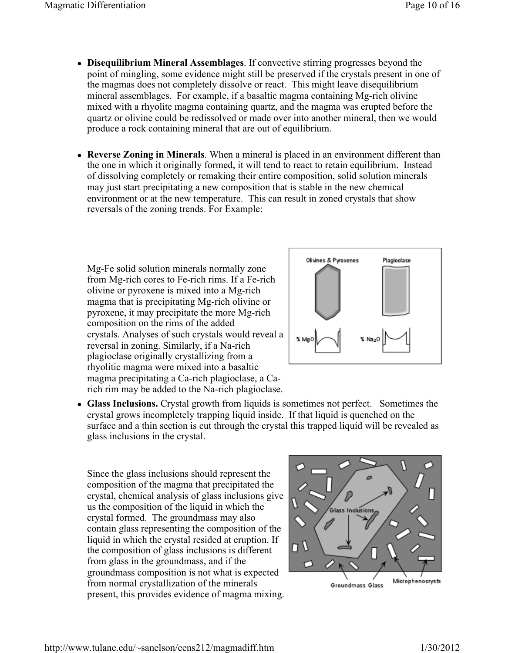- Disequilibrium Mineral Assemblages. If convective stirring progresses beyond the point of mingling, some evidence might still be preserved if the crystals present in one of the magmas does not completely dissolve or react. This might leave disequilibrium mineral assemblages. For example, if a basaltic magma containing Mg-rich olivine mixed with a rhyolite magma containing quartz, and the magma was erupted before the quartz or olivine could be redissolved or made over into another mineral, then we would produce a rock containing mineral that are out of equilibrium.
- **Reverse Zoning in Minerals**. When a mineral is placed in an environment different than the one in which it originally formed, it will tend to react to retain equilibrium. Instead of dissolving completely or remaking their entire composition, solid solution minerals may just start precipitating a new composition that is stable in the new chemical environment or at the new temperature. This can result in zoned crystals that show reversals of the zoning trends. For Example:

Mg-Fe solid solution minerals normally zone from Mg-rich cores to Fe-rich rims. If a Fe-rich olivine or pyroxene is mixed into a Mg-rich magma that is precipitating Mg-rich olivine or pyroxene, it may precipitate the more Mg-rich composition on the rims of the added crystals. Analyses of such crystals would reveal a reversal in zoning. Similarly, if a Na-rich plagioclase originally crystallizing from a rhyolitic magma were mixed into a basaltic magma precipitating a Ca-rich plagioclase, a Carich rim may be added to the Na-rich plagioclase.



• Glass Inclusions. Crystal growth from liquids is sometimes not perfect. Sometimes the crystal grows incompletely trapping liquid inside. If that liquid is quenched on the surface and a thin section is cut through the crystal this trapped liquid will be revealed as glass inclusions in the crystal.

Since the glass inclusions should represent the composition of the magma that precipitated the crystal, chemical analysis of glass inclusions give us the composition of the liquid in which the crystal formed. The groundmass may also contain glass representing the composition of the liquid in which the crystal resided at eruption. If the composition of glass inclusions is different from glass in the groundmass, and if the groundmass composition is not what is expected from normal crystallization of the minerals present, this provides evidence of magma mixing.

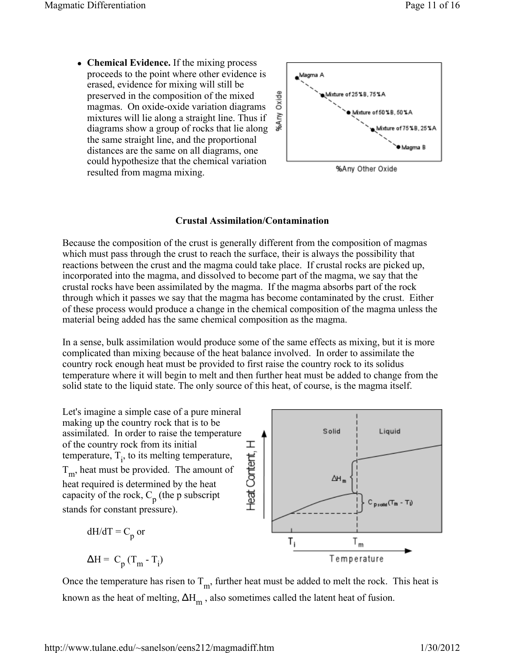• Chemical Evidence. If the mixing process proceeds to the point where other evidence is erased, evidence for mixing will still be preserved in the composition of the mixed magmas. On oxide-oxide variation diagrams mixtures will lie along a straight line. Thus if diagrams show a group of rocks that lie along the same straight line, and the proportional distances are the same on all diagrams, one could hypothesize that the chemical variation resulted from magma mixing.



### **Crustal Assimilation/Contamination**

Because the composition of the crust is generally different from the composition of magmas which must pass through the crust to reach the surface, their is always the possibility that reactions between the crust and the magma could take place. If crustal rocks are picked up, incorporated into the magma, and dissolved to become part of the magma, we say that the crustal rocks have been assimilated by the magma. If the magma absorbs part of the rock through which it passes we say that the magma has become contaminated by the crust. Either of these process would produce a change in the chemical composition of the magma unless the material being added has the same chemical composition as the magma.

In a sense, bulk assimilation would produce some of the same effects as mixing, but it is more complicated than mixing because of the heat balance involved. In order to assimilate the country rock enough heat must be provided to first raise the country rock to its solidus temperature where it will begin to melt and then further heat must be added to change from the solid state to the liquid state. The only source of this heat, of course, is the magma itself.



Once the temperature has risen to  $T_m$ , further heat must be added to melt the rock. This heat is known as the heat of melting,  $\Delta H_m$ , also sometimes called the latent heat of fusion.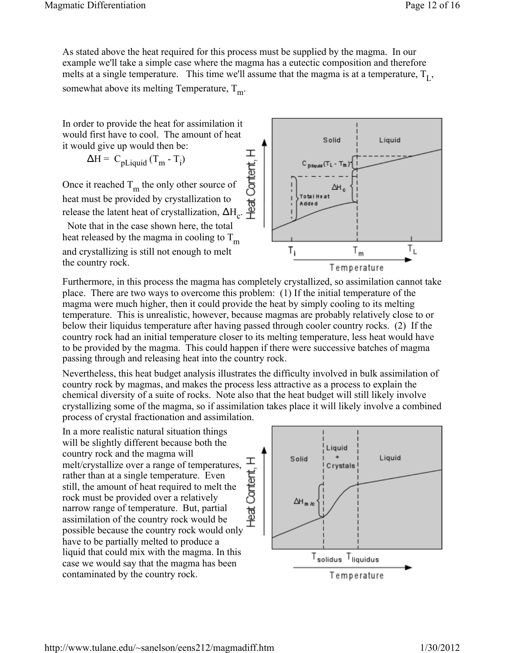As stated above the heat required for this process must be supplied by the magma. In our example we'll take a simple case where the magma has a eutectic composition and therefore melts at a single temperature. This time we'll assume that the magma is at a temperature,  $T_L$ , somewhat above its melting Temperature,  $T_m$ .

In order to provide the heat for assimilation it would first have to cool. The amount of heat it would give up would then be:

$$
\Delta H = C_{pliquid} (T_m - T_i)
$$

Once it reached  $T_m$  the only other source of heat must be provided by crystallization to release the latent heat of crystallization,  $\Delta H_c$ .

 Note that in the case shown here, the total heat released by the magma in cooling to  $T_m$ and crystallizing is still not enough to melt the country rock.



Furthermore, in this process the magma has completely crystallized, so assimilation cannot take place. There are two ways to overcome this problem: (1) If the initial temperature of the magma were much higher, then it could provide the heat by simply cooling to its melting temperature. This is unrealistic, however, because magmas are probably relatively close to or below their liquidus temperature after having passed through cooler country rocks. (2) If the country rock had an initial temperature closer to its melting temperature, less heat would have to be provided by the magma. This could happen if there were successive batches of magma passing through and releasing heat into the country rock.

Nevertheless, this heat budget analysis illustrates the difficulty involved in bulk assimilation of country rock by magmas, and makes the process less attractive as a process to explain the chemical diversity of a suite of rocks. Note also that the heat budget will still likely involve crystallizing some of the magma, so if assimilation takes place it will likely involve a combined process of crystal fractionation and assimilation.

In a more realistic natural situation things will be slightly different because both the country rock and the magma will Heat Content, H melt/crystallize over a range of temperatures, rather than at a single temperature. Even still, the amount of heat required to melt the rock must be provided over a relatively narrow range of temperature. But, partial assimilation of the country rock would be possible because the country rock would only have to be partially melted to produce a liquid that could mix with the magma. In this case we would say that the magma has been contaminated by the country rock.

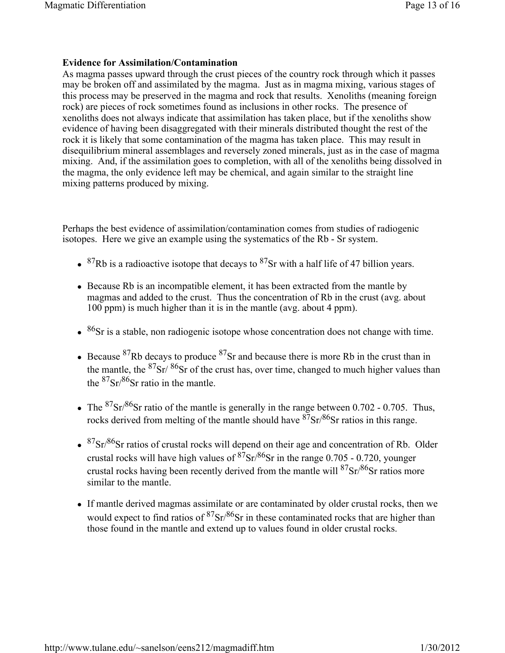## **Evidence for Assimilation/Contamination**

As magma passes upward through the crust pieces of the country rock through which it passes may be broken off and assimilated by the magma. Just as in magma mixing, various stages of this process may be preserved in the magma and rock that results. Xenoliths (meaning foreign rock) are pieces of rock sometimes found as inclusions in other rocks. The presence of xenoliths does not always indicate that assimilation has taken place, but if the xenoliths show evidence of having been disaggregated with their minerals distributed thought the rest of the rock it is likely that some contamination of the magma has taken place. This may result in disequilibrium mineral assemblages and reversely zoned minerals, just as in the case of magma mixing. And, if the assimilation goes to completion, with all of the xenoliths being dissolved in the magma, the only evidence left may be chemical, and again similar to the straight line mixing patterns produced by mixing.

Perhaps the best evidence of assimilation/contamination comes from studies of radiogenic isotopes. Here we give an example using the systematics of the Rb - Sr system.

- $\cdot$  <sup>87</sup>Rb is a radioactive isotope that decays to <sup>87</sup>Sr with a half life of 47 billion years.
- Because Rb is an incompatible element, it has been extracted from the mantle by magmas and added to the crust. Thus the concentration of Rb in the crust (avg. about 100 ppm) is much higher than it is in the mantle (avg. about 4 ppm).
- $\cdot$   $86$ Sr is a stable, non radiogenic isotope whose concentration does not change with time.
- Because  ${}^{87}$ Rb decays to produce  ${}^{87}$ Sr and because there is more Rb in the crust than in the mantle, the  $87\text{Sr}$   $86\text{Sr}$  of the crust has, over time, changed to much higher values than the  ${}^{87}Sr/{}^{86}Sr$  ratio in the mantle
- The  ${}^{87}Sr/{}^{86}Sr$  ratio of the mantle is generally in the range between 0.702 0.705. Thus, rocks derived from melting of the mantle should have  $\frac{87}{5}$ Sr/ $\frac{86}{5}$ Sr ratios in this range.
- $87\text{Sr}/86\text{Sr}$  ratios of crustal rocks will depend on their age and concentration of Rb. Older crustal rocks will have high values of  ${}^{87}Sr/{}^{86}Sr$  in the range 0.705 - 0.720, younger crustal rocks having been recently derived from the mantle will  $87\text{Sr}/86\text{Sr}$  ratios more similar to the mantle.
- If mantle derived magmas assimilate or are contaminated by older crustal rocks, then we would expect to find ratios of  ${}^{87}Sr/{}^{86}Sr$  in these contaminated rocks that are higher than those found in the mantle and extend up to values found in older crustal rocks.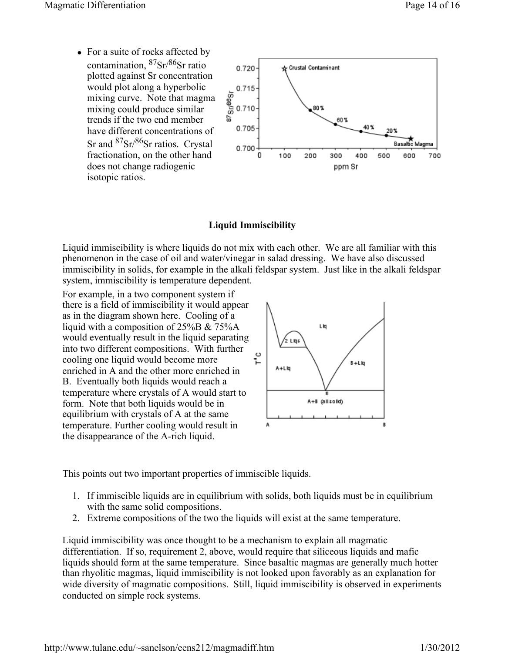• For a suite of rocks affected by contamination,  ${}^{87}Sr/{}^{86}Sr$  ratio plotted against Sr concentration would plot along a hyperbolic mixing curve. Note that magma mixing could produce similar trends if the two end member have different concentrations of Sr and  $87$ Sr/ $86$ Sr ratios. Crystal fractionation, on the other hand does not change radiogenic isotopic ratios.



### **Liquid Immiscibility**

Liquid immiscibility is where liquids do not mix with each other. We are all familiar with this phenomenon in the case of oil and water/vinegar in salad dressing. We have also discussed immiscibility in solids, for example in the alkali feldspar system. Just like in the alkali feldspar system, immiscibility is temperature dependent.

For example, in a two component system if there is a field of immiscibility it would appear as in the diagram shown here. Cooling of a liquid with a composition of 25%B & 75%A would eventually result in the liquid separating into two different compositions. With further cooling one liquid would become more enriched in A and the other more enriched in B. Eventually both liquids would reach a temperature where crystals of A would start to form. Note that both liquids would be in equilibrium with crystals of A at the same temperature. Further cooling would result in the disappearance of the A-rich liquid.



This points out two important properties of immiscible liquids.

- 1. If immiscible liquids are in equilibrium with solids, both liquids must be in equilibrium with the same solid compositions.
- 2. Extreme compositions of the two the liquids will exist at the same temperature.

Liquid immiscibility was once thought to be a mechanism to explain all magmatic differentiation. If so, requirement 2, above, would require that siliceous liquids and mafic liquids should form at the same temperature. Since basaltic magmas are generally much hotter than rhyolitic magmas, liquid immiscibility is not looked upon favorably as an explanation for wide diversity of magmatic compositions. Still, liquid immiscibility is observed in experiments conducted on simple rock systems.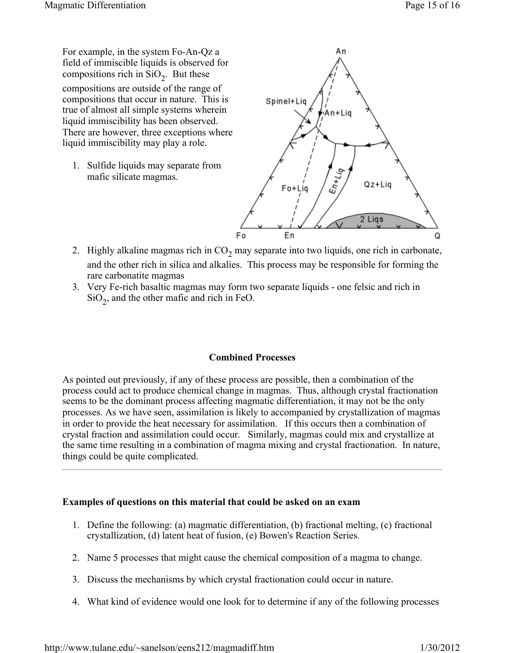For example, in the system Fo-An-Qz a field of immiscible liquids is observed for compositions rich in  $SiO<sub>2</sub>$ . But these compositions are outside of the range of compositions that occur in nature. This is true of almost all simple systems wherein liquid immiscibility has been observed. There are however, three exceptions where liquid immiscibility may play a role.

1. Sulfide liquids may separate from mafic silicate magmas.



- 2. Highly alkaline magmas rich in  $CO<sub>2</sub>$  may separate into two liquids, one rich in carbonate, and the other rich in silica and alkalies. This process may be responsible for forming the rare carbonatite magmas
- 3. Very Fe-rich basaltic magmas may form two separate liquids one felsic and rich in  $SiO<sub>2</sub>$ , and the other mafic and rich in FeO.

### **Combined Processes**

As pointed out previously, if any of these process are possible, then a combination of the process could act to produce chemical change in magmas. Thus, although crystal fractionation seems to be the dominant process affecting magmatic differentiation, it may not be the only processes. As we have seen, assimilation is likely to accompanied by crystallization of magmas in order to provide the heat necessary for assimilation. If this occurs then a combination of crystal fraction and assimilation could occur. Similarly, magmas could mix and crystallize at the same time resulting in a combination of magma mixing and crystal fractionation. In nature, things could be quite complicated.

### **Examples of questions on this material that could be asked on an exam**

- 1. Define the following: (a) magmatic differentiation, (b) fractional melting, (c) fractional crystallization, (d) latent heat of fusion, (e) Bowen's Reaction Series.
- 2. Name 5 processes that might cause the chemical composition of a magma to change.
- 3. Discuss the mechanisms by which crystal fractionation could occur in nature.
- 4. What kind of evidence would one look for to determine if any of the following processes